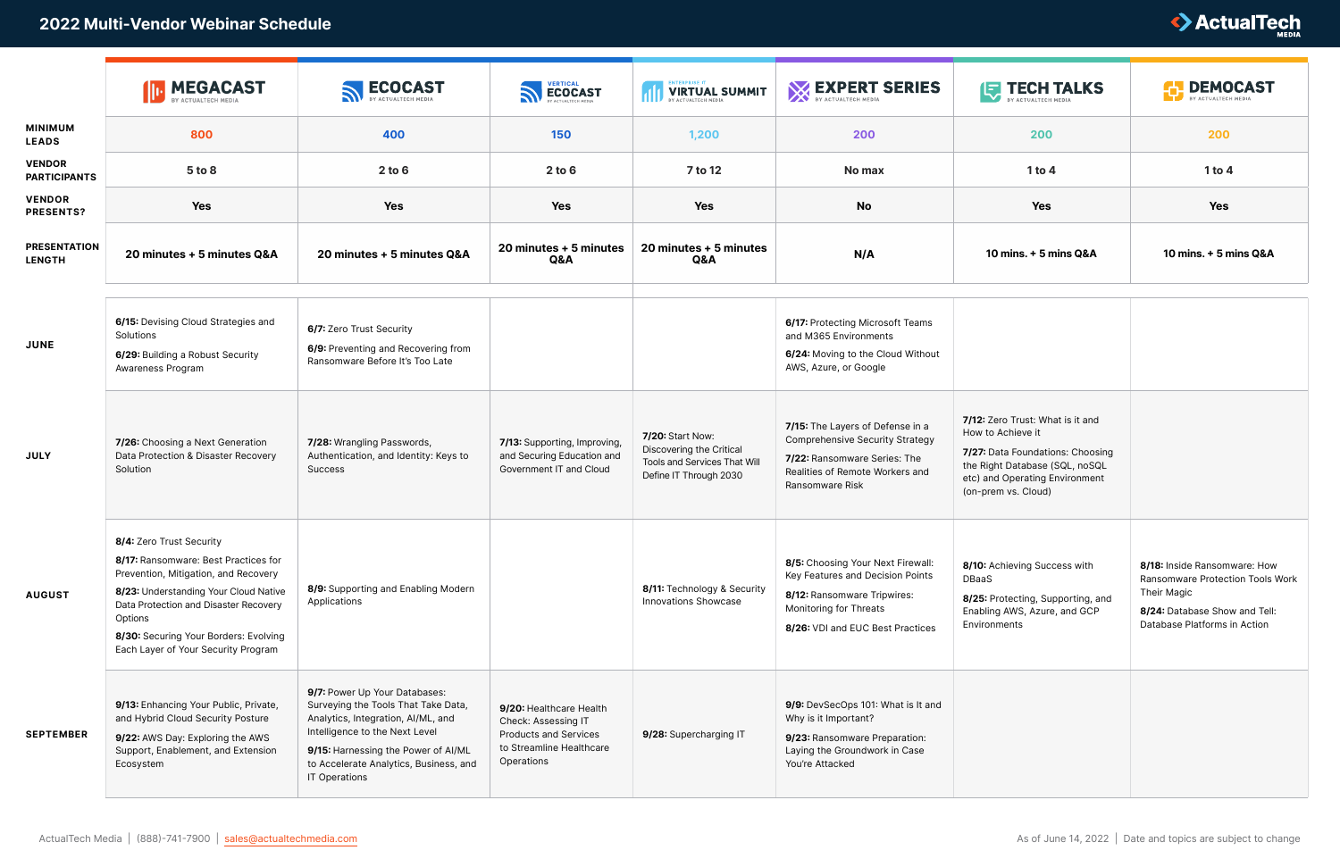|                                      | <b>ID</b> MEGACAST                                                                                                                                                                                                                                                                    | <b>ECOCAST</b>                                                                                                                                                                                                                                 | <b>SECOCAST</b>                                                                                                          | <b>VIRTUAL SUMMIT</b>                                                                                  | <b>EXPERT SERIES</b>                                                                                                                                               | <b>IF TECH TALKS</b>                                                                                                                                                                 | <b>DEMOCAST</b><br>BY ACTUALTECH MEDIA                                                                                                           |
|--------------------------------------|---------------------------------------------------------------------------------------------------------------------------------------------------------------------------------------------------------------------------------------------------------------------------------------|------------------------------------------------------------------------------------------------------------------------------------------------------------------------------------------------------------------------------------------------|--------------------------------------------------------------------------------------------------------------------------|--------------------------------------------------------------------------------------------------------|--------------------------------------------------------------------------------------------------------------------------------------------------------------------|--------------------------------------------------------------------------------------------------------------------------------------------------------------------------------------|--------------------------------------------------------------------------------------------------------------------------------------------------|
| <b>MINIMUM</b><br><b>LEADS</b>       | 800                                                                                                                                                                                                                                                                                   | 400                                                                                                                                                                                                                                            | 150                                                                                                                      | 1,200                                                                                                  | 200                                                                                                                                                                | 200                                                                                                                                                                                  | 200                                                                                                                                              |
| <b>VENDOR</b><br><b>PARTICIPANTS</b> | 5 to 8                                                                                                                                                                                                                                                                                | $2$ to $6$                                                                                                                                                                                                                                     | $2$ to $6$                                                                                                               | 7 to 12                                                                                                | No max                                                                                                                                                             | $1$ to $4$                                                                                                                                                                           | $1$ to $4$                                                                                                                                       |
| <b>VENDOR</b><br><b>PRESENTS?</b>    | Yes                                                                                                                                                                                                                                                                                   | <b>Yes</b>                                                                                                                                                                                                                                     | Yes                                                                                                                      | <b>Yes</b>                                                                                             | <b>No</b>                                                                                                                                                          | Yes                                                                                                                                                                                  | <b>Yes</b>                                                                                                                                       |
| <b>PRESENTATION</b><br><b>LENGTH</b> | 20 minutes + 5 minutes Q&A                                                                                                                                                                                                                                                            | 20 minutes + 5 minutes Q&A                                                                                                                                                                                                                     | 20 minutes + 5 minutes<br>Q&A                                                                                            | 20 minutes + 5 minutes<br>Q&A                                                                          | N/A                                                                                                                                                                | 10 mins. + 5 mins Q&A                                                                                                                                                                | 10 mins. + 5 mins Q&A                                                                                                                            |
| <b>JUNE</b>                          | 6/15: Devising Cloud Strategies and<br>Solutions<br>6/29: Building a Robust Security<br>Awareness Program                                                                                                                                                                             | 6/7: Zero Trust Security<br>6/9: Preventing and Recovering from<br>Ransomware Before It's Too Late                                                                                                                                             |                                                                                                                          |                                                                                                        | 6/17: Protecting Microsoft Teams<br>and M365 Environments<br>6/24: Moving to the Cloud Without<br>AWS, Azure, or Google                                            |                                                                                                                                                                                      |                                                                                                                                                  |
| <b>JULY</b>                          | 7/26: Choosing a Next Generation<br>Data Protection & Disaster Recovery<br>Solution                                                                                                                                                                                                   | 7/28: Wrangling Passwords,<br>Authentication, and Identity: Keys to<br>Success                                                                                                                                                                 | 7/13: Supporting, Improving,<br>and Securing Education and<br>Government IT and Cloud                                    | 7/20: Start Now:<br>Discovering the Critical<br>Tools and Services That Will<br>Define IT Through 2030 | 7/15: The Layers of Defense in a<br><b>Comprehensive Security Strategy</b><br>7/22: Ransomware Series: The<br>Realities of Remote Workers and<br>Ransomware Risk   | 7/12: Zero Trust: What is it and<br>How to Achieve it<br>7/27: Data Foundations: Choosing<br>the Right Database (SQL, noSQL<br>etc) and Operating Environment<br>(on-prem vs. Cloud) |                                                                                                                                                  |
| <b>AUGUST</b>                        | 8/4: Zero Trust Security<br>8/17: Ransomware: Best Practices for<br>Prevention, Mitigation, and Recovery<br>8/23: Understanding Your Cloud Native<br>Data Protection and Disaster Recovery<br>Options<br>8/30: Securing Your Borders: Evolving<br>Each Layer of Your Security Program | 8/9: Supporting and Enabling Modern<br>Applications                                                                                                                                                                                            |                                                                                                                          | 8/11: Technology & Security<br><b>Innovations Showcase</b>                                             | 8/5: Choosing Your Next Firewall:<br>Key Features and Decision Points<br>8/12: Ransomware Tripwires:<br>Monitoring for Threats<br>8/26: VDI and EUC Best Practices | 8/10: Achieving Success with<br>DBaaS<br>8/25: Protecting, Supporting, and<br>Enabling AWS, Azure, and GCP<br>Environments                                                           | 8/18: Inside Ransomware: How<br>Ransomware Protection Tools Work<br>Their Magic<br>8/24: Database Show and Tell:<br>Database Platforms in Action |
| <b>SEPTEMBER</b>                     | 9/13: Enhancing Your Public, Private,<br>and Hybrid Cloud Security Posture<br>9/22: AWS Day: Exploring the AWS<br>Support, Enablement, and Extension<br>Ecosystem                                                                                                                     | 9/7: Power Up Your Databases:<br>Surveying the Tools That Take Data,<br>Analytics, Integration, Al/ML, and<br>Intelligence to the Next Level<br>9/15: Harnessing the Power of AI/ML<br>to Accelerate Analytics, Business, and<br>IT Operations | 9/20: Healthcare Health<br>Check: Assessing IT<br><b>Products and Services</b><br>to Streamline Healthcare<br>Operations | 9/28: Supercharging IT                                                                                 | 9/9: DevSecOps 101: What is It and<br>Why is it Important?<br>9/23: Ransomware Preparation:<br>Laying the Groundwork in Case<br>You're Attacked                    |                                                                                                                                                                                      |                                                                                                                                                  |

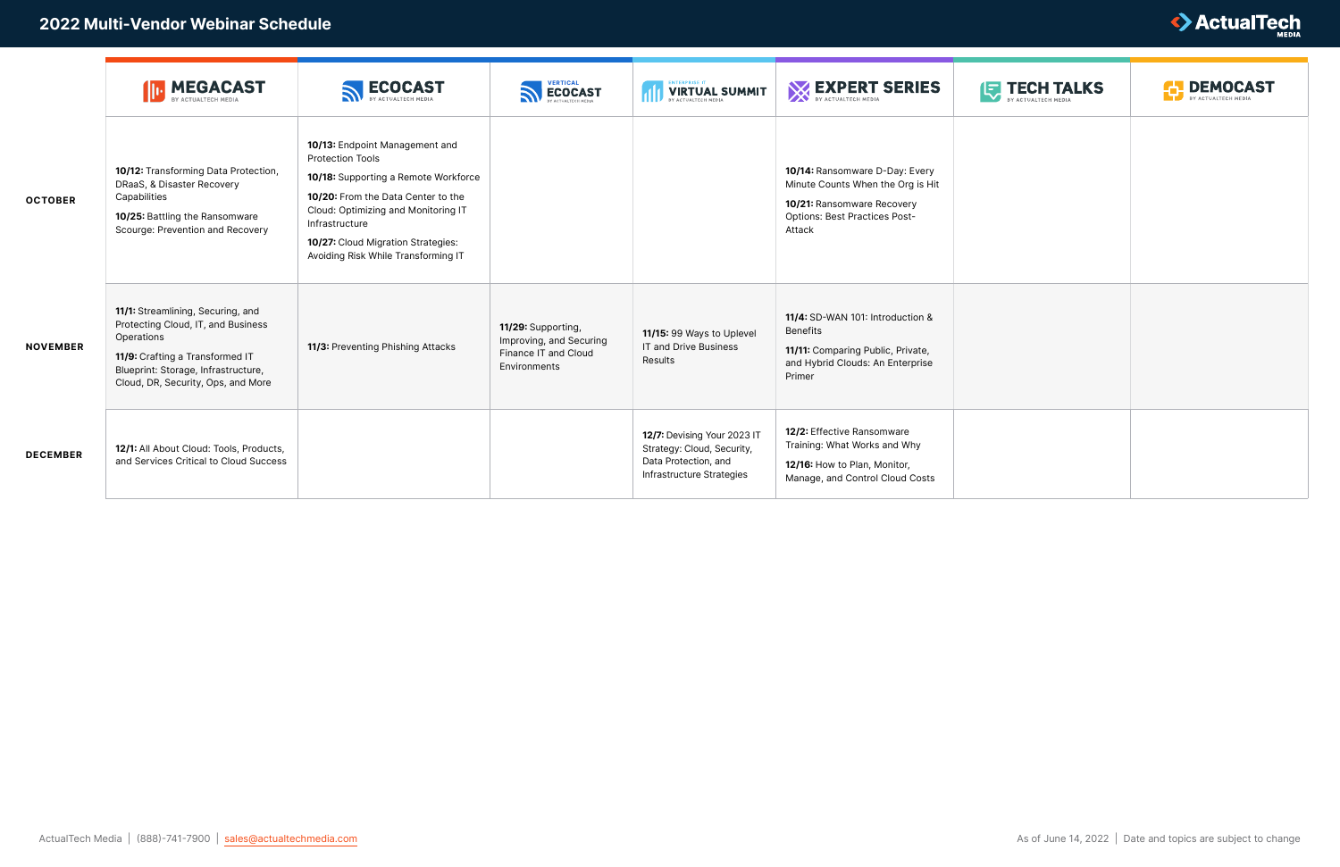|                 | <b>MEGACAST</b><br>   ⊩                                                                                                                                                                               | <b>ECOCAST</b>                                                                                                                                                                                                                                                                | <b>SECOCAST</b>                                                                       | <b>VIRTUAL SUMMIT</b>                                                                                          | BY ACTUALTECH MEDIA                                                                                                                                 | <b>EXPECH TALKS</b> | <b>DEMOCAST</b><br>BY ACTUALTECH MEDI. |
|-----------------|-------------------------------------------------------------------------------------------------------------------------------------------------------------------------------------------------------|-------------------------------------------------------------------------------------------------------------------------------------------------------------------------------------------------------------------------------------------------------------------------------|---------------------------------------------------------------------------------------|----------------------------------------------------------------------------------------------------------------|-----------------------------------------------------------------------------------------------------------------------------------------------------|---------------------|----------------------------------------|
| <b>OCTOBER</b>  | 10/12: Transforming Data Protection,<br>DRaaS, & Disaster Recovery<br>Capabilities<br>10/25: Battling the Ransomware<br>Scourge: Prevention and Recovery                                              | 10/13: Endpoint Management and<br><b>Protection Tools</b><br>10/18: Supporting a Remote Workforce<br>10/20: From the Data Center to the<br>Cloud: Optimizing and Monitoring IT<br>Infrastructure<br>10/27: Cloud Migration Strategies:<br>Avoiding Risk While Transforming IT |                                                                                       |                                                                                                                | 10/14: Ransomware D-Day: Every<br>Minute Counts When the Org is Hit<br>10/21: Ransomware Recovery<br><b>Options: Best Practices Post-</b><br>Attack |                     |                                        |
| <b>NOVEMBER</b> | 11/1: Streamlining, Securing, and<br>Protecting Cloud, IT, and Business<br>Operations<br>11/9: Crafting a Transformed IT<br>Blueprint: Storage, Infrastructure,<br>Cloud, DR, Security, Ops, and More | 11/3: Preventing Phishing Attacks                                                                                                                                                                                                                                             | 11/29: Supporting,<br>Improving, and Securing<br>Finance IT and Cloud<br>Environments | 11/15: 99 Ways to Uplevel<br>IT and Drive Business<br>Results                                                  | 11/4: SD-WAN 101: Introduction &<br><b>Benefits</b><br>11/11: Comparing Public, Private,<br>and Hybrid Clouds: An Enterprise<br>Primer              |                     |                                        |
| <b>DECEMBER</b> | 12/1: All About Cloud: Tools, Products,<br>and Services Critical to Cloud Success                                                                                                                     |                                                                                                                                                                                                                                                                               |                                                                                       | 12/7: Devising Your 2023 IT<br>Strategy: Cloud, Security,<br>Data Protection, and<br>Infrastructure Strategies | 12/2: Effective Ransomware<br>Training: What Works and Why<br>12/16: How to Plan, Monitor,<br>Manage, and Control Cloud Costs                       |                     |                                        |